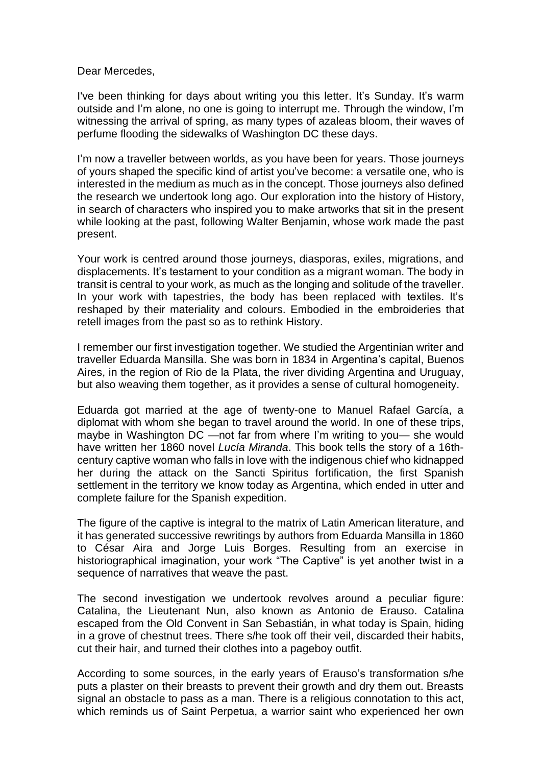Dear Mercedes,

I've been thinking for days about writing you this letter. It's Sunday. It's warm outside and I'm alone, no one is going to interrupt me. Through the window, I'm witnessing the arrival of spring, as many types of azaleas bloom, their waves of perfume flooding the sidewalks of Washington DC these days.

I'm now a traveller between worlds, as you have been for years. Those journeys of yours shaped the specific kind of artist you've become: a versatile one, who is interested in the medium as much as in the concept. Those journeys also defined the research we undertook long ago. Our exploration into the history of History, in search of characters who inspired you to make artworks that sit in the present while looking at the past, following Walter Benjamin, whose work made the past present.

Your work is centred around those journeys, diasporas, exiles, migrations, and displacements. It's testament to your condition as a migrant woman. The body in transit is central to your work, as much as the longing and solitude of the traveller. In your work with tapestries, the body has been replaced with textiles. It's reshaped by their materiality and colours. Embodied in the embroideries that retell images from the past so as to rethink History.

I remember our first investigation together. We studied the Argentinian writer and traveller Eduarda Mansilla. She was born in 1834 in Argentina's capital, Buenos Aires, in the region of Rio de la Plata, the river dividing Argentina and Uruguay, but also weaving them together, as it provides a sense of cultural homogeneity.

Eduarda got married at the age of twenty-one to Manuel Rafael García, a diplomat with whom she began to travel around the world. In one of these trips, maybe in Washington DC —not far from where I'm writing to you— she would have written her 1860 novel *Lucía Miranda*. This book tells the story of a 16thcentury captive woman who falls in love with the indigenous chief who kidnapped her during the attack on the Sancti Spiritus fortification, the first Spanish settlement in the territory we know today as Argentina, which ended in utter and complete failure for the Spanish expedition.

The figure of the captive is integral to the matrix of Latin American literature, and it has generated successive rewritings by authors from Eduarda Mansilla in 1860 to César Aira and Jorge Luis Borges. Resulting from an exercise in historiographical imagination, your work "The Captive" is yet another twist in a sequence of narratives that weave the past.

The second investigation we undertook revolves around a peculiar figure: Catalina, the Lieutenant Nun, also known as Antonio de Erauso. Catalina escaped from the Old Convent in San Sebastián, in what today is Spain, hiding in a grove of chestnut trees. There s/he took off their veil, discarded their habits, cut their hair, and turned their clothes into a pageboy outfit.

According to some sources, in the early years of Erauso's transformation s/he puts a plaster on their breasts to prevent their growth and dry them out. Breasts signal an obstacle to pass as a man. There is a religious connotation to this act, which reminds us of Saint Perpetua, a warrior saint who experienced her own